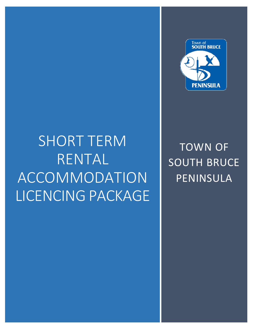# SHORT TERM RENTAL ACCOMMODATION LICENCING PACKAGE



# TOWN OF SOUTH BRUCE PENINSULA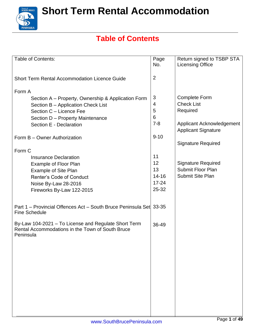

### **Table of Contents**

| <b>Table of Contents:</b>                                                                                             | Page<br>No.    | Return signed to TSBP STA                               |
|-----------------------------------------------------------------------------------------------------------------------|----------------|---------------------------------------------------------|
|                                                                                                                       |                | <b>Licensing Office</b>                                 |
| <b>Short Term Rental Accommodation Licence Guide</b>                                                                  | $\overline{2}$ |                                                         |
| Form A                                                                                                                |                |                                                         |
| Section A – Property, Ownership & Application Form                                                                    | 3              | <b>Complete Form</b>                                    |
| Section B - Application Check List                                                                                    | 4              | <b>Check List</b>                                       |
| Section C - Licence Fee                                                                                               | 5              | Required                                                |
| Section D - Property Maintenance                                                                                      | $6\phantom{1}$ |                                                         |
| Section E - Declaration                                                                                               | $7 - 8$        | Applicant Acknowledgement<br><b>Applicant Signature</b> |
| Form B - Owner Authorization                                                                                          | $9 - 10$       |                                                         |
|                                                                                                                       |                | <b>Signature Required</b>                               |
| Form C                                                                                                                |                |                                                         |
| <b>Insurance Declaration</b>                                                                                          | 11             |                                                         |
| Example of Floor Plan                                                                                                 | 12             | <b>Signature Required</b>                               |
| <b>Example of Site Plan</b>                                                                                           | 13             | <b>Submit Floor Plan</b>                                |
| <b>Renter's Code of Conduct</b>                                                                                       | $14 - 16$      | Submit Site Plan                                        |
| Noise By-Law 28-2016                                                                                                  | $17 - 24$      |                                                         |
| Fireworks By-Law 122-2015                                                                                             | 25-32          |                                                         |
| Part 1 – Provincial Offences Act – South Bruce Peninsula Set 33-35<br><b>Fine Schedule</b>                            |                |                                                         |
| By-Law 104-2021 - To License and Regulate Short Term<br>Rental Accommodations in the Town of South Bruce<br>Peninsula | 36-49          |                                                         |
|                                                                                                                       |                |                                                         |
|                                                                                                                       |                |                                                         |
|                                                                                                                       |                |                                                         |
|                                                                                                                       |                |                                                         |
|                                                                                                                       |                |                                                         |
|                                                                                                                       |                |                                                         |
|                                                                                                                       |                |                                                         |
|                                                                                                                       |                |                                                         |
|                                                                                                                       |                |                                                         |
|                                                                                                                       |                |                                                         |
|                                                                                                                       |                |                                                         |
|                                                                                                                       |                |                                                         |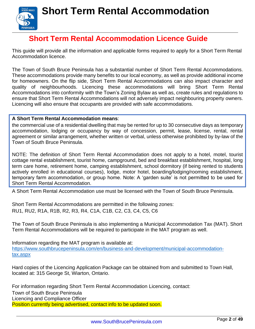

### **Short Term Rental Accommodation Licence Guide**

<span id="page-2-0"></span>This guide will provide all the information and applicable forms required to apply for a Short Term Rental Accommodation licence.

The Town of South Bruce Peninsula has a substantial number of Short Term Rental Accommodations. These accommodations provide many benefits to our local economy, as well as provide additional income for homeowners. On the flip side, Short Term Rental Accommodations can also impact character and quality of neighbourhoods. Licencing these accommodations will bring Short Term Rental Accommodations into conformity with the Town's Zoning Bylaw as well as, create rules and regulations to ensure that Short Term Rental Accommodations will not adversely impact neighbouring property owners. Licencing will also ensure that occupants are provided with safe accommodations.

#### **A Short Term Rental Accommodation means**:

the commercial use of a residential dwelling that may be rented for up to 30 consecutive days as temporary accommodation, lodging or occupancy by way of concession, permit, lease, license, rental, rental agreement or similar arrangement, whether written or verbal, unless otherwise prohibited by by-law of the Town of South Bruce Peninsula.

NOTE: The definition of Short Term Rental Accommodation does not apply to a hotel, motel, tourist cottage rental establishment, tourist home, campground, bed and breakfast establishment, hospital, long term care home, retirement home, camping establishment, school dormitory (if being rented to students actively enrolled in educational courses), lodge, motor hotel, boarding/lodging/rooming establishment, temporary farm accommodation, or group home. Note: A 'garden suite' is not permitted to be used for Short Term Rental Accommodation.

A Short Term Rental Accommodation use must be licensed with the Town of South Bruce Peninsula.

Short Term Rental Accommodations are permitted in the following zones: RU1, RU2, R1A, R1B, R2, R3, R4, C1A, C1B, C2, C3, C4, C5, C6

The Town of South Bruce Peninsula is also implementing a Municipal Accommodation Tax (MAT). Short Term Rental Accommodations will be required to participate in the MAT program as well.

Information regarding the MAT program is available at: [https://www.southbrucepeninsula.com/en/business-and-development/municipal-accommodation](https://www.southbrucepeninsula.com/en/business-and-development/municipal-accommodation-tax.aspx)[tax.aspx](https://www.southbrucepeninsula.com/en/business-and-development/municipal-accommodation-tax.aspx)

Hard copies of the Licencing Application Package can be obtained from and submitted to Town Hall, located at: 315 George St, Wiarton, Ontario.

For information regarding Short Term Rental Accommodation Licencing, contact: Town of South Bruce Peninsula Licencing and Compliance Officer

Position currently being advertised, contact info to be updated soon.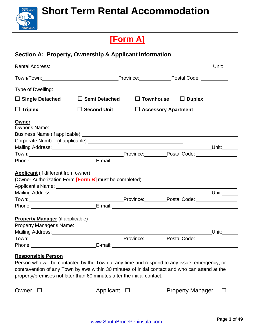

### **[Form A]**

### **Section A: Property, Ownership & Applicant Information**

|                                                                                                                                                                                                                               |                                                                                                                                                                                                                                |                     |                                                                                                                      | Unit: $\_\_\_\_\_\_\_\_\_\_$ |
|-------------------------------------------------------------------------------------------------------------------------------------------------------------------------------------------------------------------------------|--------------------------------------------------------------------------------------------------------------------------------------------------------------------------------------------------------------------------------|---------------------|----------------------------------------------------------------------------------------------------------------------|------------------------------|
|                                                                                                                                                                                                                               | Town/Town: Town/Town: Town/Town: Province: Province: Postal Code:                                                                                                                                                              |                     |                                                                                                                      |                              |
| Type of Dwelling:                                                                                                                                                                                                             |                                                                                                                                                                                                                                |                     |                                                                                                                      |                              |
| $\Box$ Single Detached                                                                                                                                                                                                        | $\Box$ Semi Detached                                                                                                                                                                                                           | $\square$ Townhouse | $\Box$ Duplex                                                                                                        |                              |
| $\Box$ Triplex                                                                                                                                                                                                                | $\square$ Second Unit                                                                                                                                                                                                          |                     | $\Box$ Accessory Apartment                                                                                           |                              |
| <b>Owner</b>                                                                                                                                                                                                                  |                                                                                                                                                                                                                                |                     |                                                                                                                      |                              |
|                                                                                                                                                                                                                               |                                                                                                                                                                                                                                |                     |                                                                                                                      |                              |
|                                                                                                                                                                                                                               |                                                                                                                                                                                                                                |                     |                                                                                                                      |                              |
|                                                                                                                                                                                                                               |                                                                                                                                                                                                                                |                     |                                                                                                                      |                              |
|                                                                                                                                                                                                                               |                                                                                                                                                                                                                                |                     |                                                                                                                      |                              |
|                                                                                                                                                                                                                               | Phone: E-mail: E-mail: E-mail: E-mail: E-mail: E-mail: E-mail: E-mail: E-mail: E-mail: E-mail: E-mail: E-mail: E-mail: E-mail: E-mail: E-mail: E-mail: E-mail: E-mail: E-mail: E-mail: E-mail: E-mail: E-mail: E-mail: E-mail: |                     |                                                                                                                      |                              |
| <b>Applicant</b> (if different from owner)                                                                                                                                                                                    |                                                                                                                                                                                                                                |                     |                                                                                                                      |                              |
|                                                                                                                                                                                                                               | (Owner Authorization Form [Form B] must be completed)                                                                                                                                                                          |                     |                                                                                                                      |                              |
|                                                                                                                                                                                                                               |                                                                                                                                                                                                                                |                     |                                                                                                                      |                              |
|                                                                                                                                                                                                                               |                                                                                                                                                                                                                                |                     | <u>Unit: Unit: Unit: Unit: Unit: Unit: Unit: Unit: Unit: Unit: Unit: Unit: Unit: Unit: Unit: Unit: Unit: Unit: U</u> |                              |
|                                                                                                                                                                                                                               |                                                                                                                                                                                                                                |                     |                                                                                                                      |                              |
|                                                                                                                                                                                                                               | Phone: E-mail: E-mail: E-mail: E-mail: E-mail: E-mail: E-mail: E-mail: E-mail: E-mail: E-mail: E-mail: E-mail: E-mail: E-mail: E-mail: E-mail: E-mail: E-mail: E-mail: E-mail: E-mail: E-mail: E-mail: E-mail: E-mail: E-mail: |                     |                                                                                                                      |                              |
| <b>Property Manager</b> (if applicable)                                                                                                                                                                                       |                                                                                                                                                                                                                                |                     |                                                                                                                      |                              |
|                                                                                                                                                                                                                               |                                                                                                                                                                                                                                |                     |                                                                                                                      |                              |
|                                                                                                                                                                                                                               |                                                                                                                                                                                                                                |                     | _________________Unit:________                                                                                       |                              |
|                                                                                                                                                                                                                               |                                                                                                                                                                                                                                |                     |                                                                                                                      |                              |
| Town: Town: Town: Town: Town: Town: Town: Town: Town: Town: Town: Town: Town: Town: Town: Town: Town: Town: Town: Town: Town: Town: Town: Town: Town: Town: Town: Town: Town: Town: Town: Town: Town: Town: Town: Town: Town: |                                                                                                                                                                                                                                |                     |                                                                                                                      |                              |

Person who will be contacted by the Town at any time and respond to any issue, emergency, or contravention of any Town bylaws within 30 minutes of initial contact and who can attend at the property/premises not later than 60 minutes after the initial contact.

Owner  $\square$  Applicant  $\square$  Property Manager  $\square$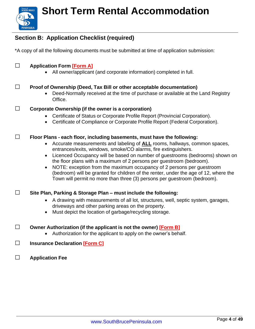

### **Section B: Application Checklist (required)**

\*A copy of all the following documents must be submitted at time of application submission:

#### **□ Application Form [\[Form](#page-2-0) A]**

• All owner/applicant (and corporate information) completed in full.

#### **□ Proof of Ownership (Deed, Tax Bill or other acceptable documentation)**

- Deed-Normally received at the time of purchase or available at the Land Registry Office.
- **□ Corporate Ownership (if the owner is <sup>a</sup> corporation)**
	- Certificate of Status or Corporate Profile Report (Provincial Corporation).
	- Certificate of Compliance or Corporate Profile Report (Federal Corporation).

#### **□ Floor Plans - each floor, including basements, must have the following:**

- Accurate measurements and labeling of **ALL** rooms, hallways, common spaces, entrances/exits, windows, smoke/CO alarms, fire extinguishers.
- Licenced Occupancy will be based on number of questrooms (bedrooms) shown on the floor plans with a maximum of 2 persons per guestroom (bedroom).
- NOTE: exception from the maximum occupancy of 2 persons per guestroom (bedroom) will be granted for children of the renter, under the age of 12, where the Town will permit no more than three (3) persons per guestroom (bedroom).

#### **□ Site Plan, Parking & Storage Plan – must include the following:**

- A drawing with measurements of all lot, structures, well, septic system, garages, driveways and other parking areas on the property.
- Must depict the location of garbage/recycling storage.

#### **□ Owner Authorization (if the applicant is not the owner) [\[Form](#page-9-0) B]**

- Authorization for the applicant to apply on the owner's behalf.
- **□ Insurance Declaration [\[Form](#page-10-0) C]**
- **□ Application Fee**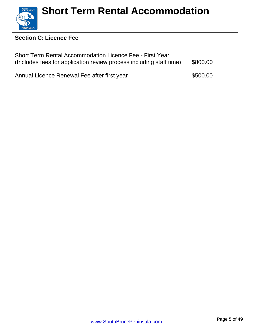

### **Section C: Licence Fee**

| Short Term Rental Accommodation Licence Fee - First Year<br>(Includes fees for application review process including staff time) |          |  |
|---------------------------------------------------------------------------------------------------------------------------------|----------|--|
| Annual Licence Renewal Fee after first year                                                                                     | \$500.00 |  |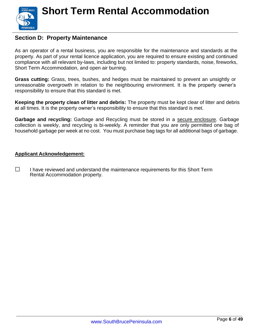

#### **Section D: Property Maintenance**

As an operator of a rental business, you are responsible for the maintenance and standards at the property. As part of your rental licence application, you are required to ensure existing and continued compliance with all relevant by-laws, including but not limited to: property standards, noise, fireworks, Short Term Accommodation, and open air burning.

**Grass cutting:** Grass, trees, bushes, and hedges must be maintained to prevent an unsightly or unreasonable overgrowth in relation to the neighbouring environment. It is the property owner's responsibility to ensure that this standard is met.

**Keeping the property clean of litter and debris:** The property must be kept clear of litter and debris at all times. It is the property owner's responsibility to ensure that this standard is met.

**Garbage and recycling:** Garbage and Recycling must be stored in a secure enclosure. Garbage collection is weekly, and recycling is bi-weekly. A reminder that you are only permitted one bag of household garbage per week at no cost. You must purchase bag tags for all additional bags of garbage.

#### **Applicant Acknowledgement:**

**□** I have reviewed and understand the maintenance requirements for this Short Term Rental Accommodation property.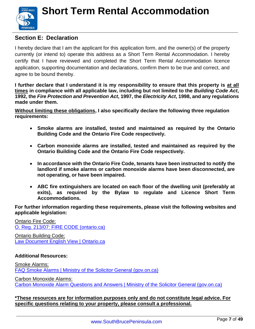

### **Section E: Declaration**

I hereby declare that I am the applicant for this application form, and the owner(s) of the property currently (or intend to) operate this address as a Short Term Rental Accommodation. I hereby certify that I have reviewed and completed the Short Term Rental Accommodation licence application, supporting documentation and declarations, confirm them to be true and correct, and agree to be bound thereby.

**I further declare that I understand it is my responsibility to ensure that this property is at all times in compliance with all applicable law, including but not limited to the** *Building Code Act***, 1992, the** *Fire Protection and Prevention Act***, 1997, the** *Electricity Act***, 1998, and any regulations made under them.**

**Without limiting these obligations, I also specifically declare the following three regulation requirements:**

- **Smoke alarms are installed, tested and maintained as required by the Ontario Building Code and the Ontario Fire Code respectively.**
- **Carbon monoxide alarms are installed, tested and maintained as required by the Ontario Building Code and the Ontario Fire Code respectively.**
- **In accordance with the Ontario Fire Code, tenants have been instructed to notify the landlord if smoke alarms or carbon monoxide alarms have been disconnected, are not operating, or have been impaired.**
- **ABC fire extinguishers are located on each floor of the dwelling unit (preferably at exits), as required by the Bylaw to regulate and Licence Short Term Accommodations.**

**For further information regarding these requirements, please visit the following websites and applicable legislation:**

[Ontario](https://www.ontario.ca/laws/regulation/r07213) Fire Code: O. Reg. 213/07: FIRE CODE [\(ontario.ca\)](https://www.ontario.ca/laws/regulation/070213?_ga=2.111359687.2135169352.1583251443-1766712954.1582205930)

Ontario Building Code: Law Document English View | [Ontario.ca](https://www.ontario.ca/laws/regulation/120332)

#### **Additional Resources:**

Smoke Alarms: FAQ Smoke Alarms | Ministry of the Solicitor General [\(gov.on.ca\)](https://www.mcscs.jus.gov.on.ca/english/FireMarshal/FAQ/SmokeAlarms/OFM_FAQ_Smoke_Alarms.html) Carbon Monoxide Alarms: Carbon Monoxide Alarm Questions and Answers | Ministry of the Solicitor General [\(gov.on.ca\)](https://www.mcscs.jus.gov.on.ca/english/FireMarshal/CarbonMonoxideAlarms/QuestionsandAnswers/OFM_COAlarms_QandA.html)

**\*These resources are for information purposes only and do not constitute legal advice. For specific questions relating to your property, please consult a professional.**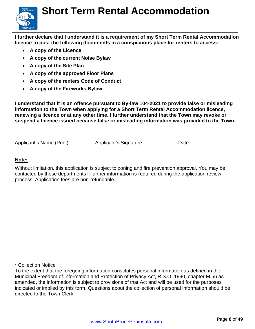

**I further declare that I understand it is a requirement of my Short Term Rental Accommodation licence to post the following documents in a conspicuous place for renters to access:**

- **A copy of the Licence**
- **A copy of the current Noise Bylaw**
- **A copy of the Site Plan**
- **A copy of the approved Floor Plans**
- **A copy of the renters Code of Conduct**
- **A copy of the Fireworks Bylaw**

**I understand that it is an offence pursuant to By-law 104-2021 to provide false or misleading information to the Town when applying for a Short Term Rental Accommodation licence, renewing a licence or at any other time. I further understand that the Town may revoke or suspend a licence issued because false or misleading information was provided to the Town.**

Applicant's Name (Print) Applicant's Signature Date

#### **Note:**

Without limitation, this application is subject to zoning and fire prevention approval. You may be contacted by these departments if further information is required during the application review process. Application fees are non-refundable.

\* Collection Notice

To the extent that the foregoing information constitutes personal information as defined in the Municipal Freedom of Information and Protection of Privacy Act, R.S.O. 1990, chapter M.56 as amended, the information is subject to provisions of that Act and will be used for the purposes indicated or implied by this form. Questions about the collection of personal information should be directed to the Town Clerk.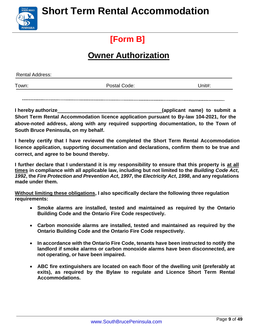### **[Form B]**

### **Owner Authorization**

<span id="page-9-0"></span>

| <b>Rental Address:</b> |              |        |
|------------------------|--------------|--------|
| Town:                  | Postal Code: | Unit#: |
|                        |              |        |

**I hereby authorize (applicant name) to submit a Short Term Rental Accommodation licence application pursuant to By-law 104-2021, for the above-noted address, along with any required supporting documentation, to the Town of South Bruce Peninsula, on my behalf.**

**I hereby certify that I have reviewed the completed the Short Term Rental Accommodation licence application, supporting documentation and declarations, confirm them to be true and correct, and agree to be bound thereby.**

**I further declare that I understand it is my responsibility to ensure that this property is at all times in compliance with all applicable law, including but not limited to the** *Building Code Act***,** 1992, the Fire Protection and Prevention Act, 1997, the Electricity Act, 1998, and any regulations **made under them.**

**Without limiting these obligations, I also specifically declare the following three regulation requirements:**

- **Smoke alarms are installed, tested and maintained as required by the Ontario Building Code and the Ontario Fire Code respectively.**
- **Carbon monoxide alarms are installed, tested and maintained as required by the Ontario Building Code and the Ontario Fire Code respectively.**
- **In accordance with the Ontario Fire Code, tenants have been instructed to notify the landlord if smoke alarms or carbon monoxide alarms have been disconnected, are not operating, or have been impaired.**
- **ABC fire extinguishers are located on each floor of the dwelling unit (preferably at exits), as required by the Bylaw to regulate and Licence Short Term Rental Accommodations.**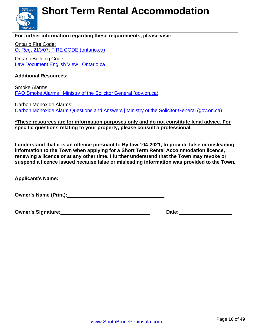

#### **For further information regarding these requirements, please visit:**

Ontario Fire Code: O. Reg. 213/07: FIRE CODE [\(ontario.ca\)](https://www.ontario.ca/laws/regulation/070213?_ga=2.111359687.2135169352.1583251443-%201766712954.1582205930)

Ontario Building Code: Law Document English View | [Ontario.ca](https://www.ontario.ca/laws/regulation/120332)

#### **Additional Resources:**

**PENINSULA** 

Smoke Alarms: FAQ Smoke Alarms | Ministry of the Solicitor General [\(gov.on.ca\)](https://www.mcscs.jus.gov.on.ca/english/FireMarshal/FAQ/SmokeAlarms/OFM_FAQ_Smoke_Alarms.html)

Carbon Monoxide Alarms: Carbon Monoxide Alarm Questions and Answers | Ministry of the Solicitor General [\(gov.on.ca\)](https://www.mcscs.jus.gov.on.ca/english/FireMarshal/CarbonMonoxideAlarms/QuestionsandAnswers/OFM_COAlarms_QandA.html)

#### **\*These resources are for information purposes only and do not constitute legal advice. For specific questions relating to your property, please consult a professional.**

**I understand that it is an offence pursuant to By-law 104-2021, to provide false or misleading information to the Town when applying for a Short Term Rental Accommodation licence, renewing a licence or at any other time. I further understand that the Town may revoke or suspend a licence issued because false or misleading information was provided to the Town.**

**Applicant's Name:**

**Owner's Name (Print):**

<span id="page-10-0"></span>**Owner's Signature: Date: Date: Date: Date: Date: Date: Date: Date: Date: Date: Date: Date: Date: Date: Date: Date: Date: Date: Date: Date: Date: Date: Date: Date: Date:**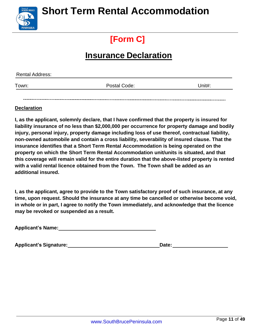

### **[Form C]**

### **Insurance Declaration**

| <b>Rental Address:</b> |              |        |
|------------------------|--------------|--------|
| Town:                  | Postal Code: | Unit#: |
|                        |              |        |

#### **Declaration**

**I, as the applicant, solemnly declare, that I have confirmed that the property is insured for liability insurance of no less than \$2,000,000 per occurrence for property damage and bodily injury, personal injury, property damage including loss of use thereof, contractual liability, non-owned automobile and contain a cross liability, severability of insured clause. That the insurance identifies that a Short Term Rental Accommodation is being operated on the property on which the Short Term Rental Accommodation unit/units is situated, and that this coverage will remain valid for the entire duration that the above-listed property is rented with a valid rental licence obtained from the Town. The Town shall be added as an additional insured.**

**I, as the applicant, agree to provide to the Town satisfactory proof of such insurance, at any time, upon request. Should the insurance at any time be cancelled or otherwise become void, in whole or in part, I agree to notify the Town immediately, and acknowledge that the licence may be revoked or suspended as a result.**

**Applicant's Name:**

Applicant's Signature: <u>Contained and the Container of Bate:</u> **Date: Date: Date:**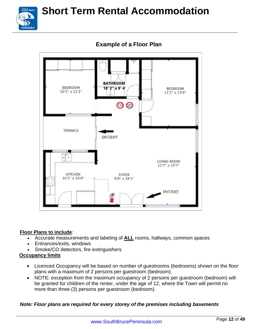



### **Example of a Floor Plan**

#### **Floor Plans to include**:

- Accurate measurements and labeling of **ALL** rooms, hallways, common spaces
- Entrances/exits, windows
- Smoke/CO detectors, fire extinguishers

#### **Occupancy limits**

- Licenced Occupancy will be based on number of guestrooms (bedrooms) shown on the floor plans with a maximum of 2 persons per guestroom (bedroom).
- NOTE: exception from the maximum occupancy of 2 persons per guestroom (bedroom) will be granted for children of the renter, under the age of 12, where the Town will permit no more than three (3) persons per guestroom (bedroom).

#### *Note: Floor plans are required for every storey of the premises including basements*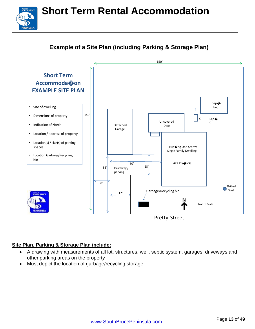### **Example of a Site Plan (including Parking & Storage Plan)**



#### **Site Plan, Parking & Storage Plan include:**

.......<br>VUTH BRUCE

**PENINSULA** 

- A drawing with measurements of all lot, structures, well, septic system, garages, driveways and other parking areas on the property
- Must depict the location of garbage/recycling storage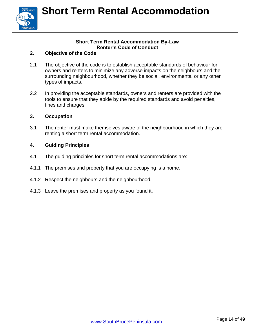

#### **Short Term Rental Accommodation By-Law Renter's Code of Conduct**

#### **2. Objective of the Code**

- 2.1 The objective of the code is to establish acceptable standards of behaviour for owners and renters to minimize any adverse impacts on the neighbours and the surrounding neighbourhood, whether they be social, environmental or any other types of impacts.
- 2.2 In providing the acceptable standards, owners and renters are provided with the tools to ensure that they abide by the required standards and avoid penalties, fines and charges.

#### **3. Occupation**

3.1 The renter must make themselves aware of the neighbourhood in which they are renting a short term rental accommodation.

#### **4. Guiding Principles**

- 4.1 The guiding principles for short term rental accommodations are:
- 4.1.1 The premises and property that you are occupying is a home.
- 4.1.2 Respect the neighbours and the neighbourhood.
- 4.1.3 Leave the premises and property as you found it.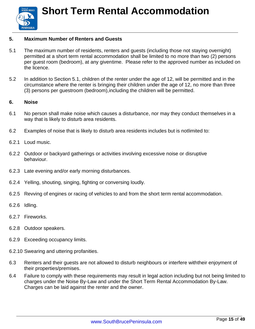

#### **5. Maximum Number of Renters and Guests**

- 5.1 The maximum number of residents, renters and guests (including those not staying overnight) permitted at a short term rental accommodation shall be limited to no more than two (2) persons per guest room (bedroom), at any giventime. Please refer to the approved number as included on the licence.
- 5.2 In addition to Section 5.1, children of the renter under the age of 12, will be permitted and in the circumstance where the renter is bringing their children under the age of 12, no more than three (3) persons per guestroom (bedroom),including the children will be permitted.

#### **6. Noise**

- 6.1 No person shall make noise which causes a disturbance, nor may they conduct themselves in a way that is likely to disturb area residents.
- 6.2 Examples of noise that is likely to disturb area residents includes but is notlimited to:
- 6.2.1 Loud music.
- 6.2.2 Outdoor or backyard gatherings or activities involving excessive noise or disruptive behaviour.
- 6.2.3 Late evening and/or early morning disturbances.
- 6.2.4 Yelling, shouting, singing, fighting or conversing loudly.
- 6.2.5 Revving of engines or racing of vehicles to and from the short term rental accommodation.
- 6.2.6 Idling.
- 6.2.7 Fireworks.
- 6.2.8 Outdoor speakers.
- 6.2.9 Exceeding occupancy limits.
- 6.2.10 Swearing and uttering profanities.
- 6.3 Renters and their guests are not allowed to disturb neighbours or interfere withtheir enjoyment of their properties/premises.
- 6.4 Failure to comply with these requirements may result in legal action including but not being limited to charges under the Noise By-Law and under the Short Term Rental Accommodation By-Law. Charges can be laid against the renter and the owner.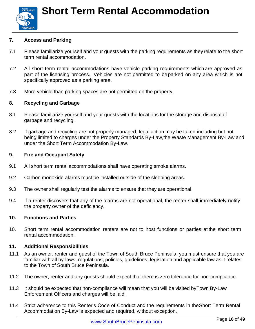

#### **7. Access and Parking**

- 7.1 Please familiarize yourself and your guests with the parking requirements as they relate to the short term rental accommodation.
- 7.2 All short term rental accommodations have vehicle parking requirements which are approved as part of the licensing process. Vehicles are not permitted to be parked on any area which is not specifically approved as a parking area.
- 7.3 More vehicle than parking spaces are not permitted on the property.

#### **8. Recycling and Garbage**

- 8.1 Please familiarize yourself and your guests with the locations for the storage and disposal of garbage and recycling.
- 8.2 If garbage and recycling are not properly managed, legal action may be taken including but not being limited to charges under the Property Standards By-Law,the Waste Management By-Law and under the Short Term Accommodation By-Law.

#### **9. Fire and Occupant Safety**

- 9.1 All short term rental accommodations shall have operating smoke alarms.
- 9.2 Carbon monoxide alarms must be installed outside of the sleeping areas.
- 9.3 The owner shall regularly test the alarms to ensure that they are operational.
- 9.4 If a renter discovers that any of the alarms are not operational, the renter shall immediately notify the property owner of the deficiency.

#### **10. Functions and Parties**

10. Short term rental accommodation renters are not to host functions or parties at the short term rental accommodation.

#### **11. Additional Responsibilities**

- 11.1 As an owner, renter and guest of the Town of South Bruce Peninsula, you must ensure that you are familiar with all by-laws, regulations, policies, guidelines, legislation and applicable law as it relates to the Town of South Bruce Peninsula.
- 11.2 The owner, renter and any guests should expect that there is zero tolerance for non-compliance.
- 11.3 It should be expected that non-compliance will mean that you will be visited byTown By-Law Enforcement Officers and charges will be laid.
- 11.4 Strict adherence to this Renter's Code of Conduct and the requirements in theShort Term Rental Accommodation By-Law is expected and required, without exception.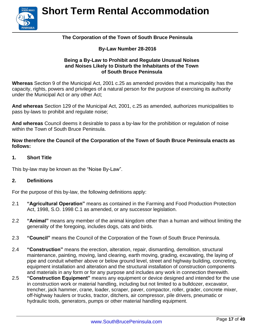

#### **The Corporation of the Town of South Bruce Peninsula**

#### **By-Law Number 28-2016**

#### **Being a By-Law to Prohibit and Regulate Unusual Noises and Noises Likely to Disturb the Inhabitants of the Town of South Bruce Peninsula**

**Whereas** Section 9 of the Municipal Act, 2001 c.25 as amended provides that a municipality has the capacity, rights, powers and privileges of a natural person for the purpose of exercising its authority under the Municipal Act or any other Act;

**And whereas** Section 129 of the Municipal Act, 2001, c.25 as amended, authorizes municipalities to pass by-laws to prohibit and regulate noise;

**And whereas** Council deems it desirable to pass a by-law for the prohibition or regulation of noise within the Town of South Bruce Peninsula.

**Now therefore the Council of the Corporation of the Town of South Bruce Peninsula enacts as follows:**

#### **1. Short Title**

This by-law may be known as the "Noise By-Law".

#### **2. Definitions**

For the purpose of this by-law, the following definitions apply:

- 2.1 **"Agricultural Operation"** means as contained in the Farming and Food Production Protection Act, 1998, S.O. 1998 C.1 as amended, or any successor legislation.
- 2.2 **"Animal"** means any member of the animal kingdom other than a human and without limiting the generality of the foregoing, includes dogs, cats and birds.
- 2.3 **"Council"** means the Council of the Corporation of the Town of South Bruce Peninsula.
- 2.4 **"Construction"** means the erection, alteration, repair, dismantling, demolition, structural maintenance, painting, moving, land clearing, earth moving, grading, excavating, the laying of pipe and conduit whether above or below ground level, street and highway building, concreting, equipment installation and alteration and the structural installation of construction components and materials in any form or for any purpose and includes any work in connection therewith.
- 2.5 **"Construction Equipment"** means any equipment or device designed and intended for the use in construction work or material handling, including but not limited to a bulldozer, excavator, trencher, jack hammer, crane, loader, scraper, paver, compactor, roller, grader, concrete mixer, off-highway haulers or trucks, tractor, ditchers, air compressor, pile drivers, pneumatic or hydraulic tools, generators, pumps or other material handling equipment.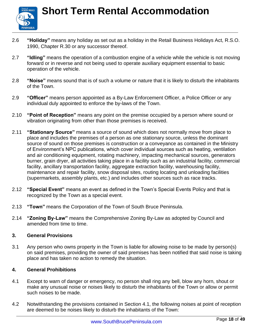

- 2.6 **"Holiday"** means any holiday as set out as a holiday in the Retail Business Holidays Act, R.S.O. 1990, Chapter R.30 or any successor thereof.
- 2.7 **"Idling"** means the operation of a combustion engine of a vehicle while the vehicle is not moving forward or in reverse and not being used to operate auxiliary equipment essential to basic operation of the vehicle.
- 2.8 **"Noise"** means sound that is of such a volume or nature that it is likely to disturb the inhabitants of the Town.
- 2.9 **"Officer"** means person appointed as a By-Law Enforcement Officer, a Police Officer or any individual duly appointed to enforce the by-laws of the Town.
- 2.10 **"Point of Reception"** means any point on the premise occupied by a person where sound or vibration originating from other than those premises is received.
- 2.11 **"Stationary Source"** means a source of sound which does not normally move from place to place and includes the premises of a person as one stationary source, unless the dominant source of sound on those premises is construction or a conveyance as contained in the Ministry of Environment's NPC publications, which cover individual sources such as heating, ventilation and air conditioning equipment, rotating machinery, impacting mechanical sources, generators burner, grain dryer, all activities taking place in a facility such as an industrial facility, commercial facility, ancillary transportation facility, aggregate extraction facility, warehousing facility, maintenance and repair facility, snow disposal sites, routing locating and unloading facilities (supermarkets, assembly plants, etc.) and includes other sources such as race tracks.
- 2.12 **"Special Event"** means an event as defined in the Town's Special Events Policy and that is recognized by the Town as a special event.
- 2.13 **"Town"** means the Corporation of the Town of South Bruce Peninsula.
- 2.14 **"Zoning By-Law"** means the Comprehensive Zoning By-Law as adopted by Council and amended from time to time.

#### **3. General Provisions**

3.1 Any person who owns property in the Town is liable for allowing noise to be made by person(s) on said premises, providing the owner of said premises has been notified that said noise is taking place and has taken no action to remedy the situation.

#### **4. General Prohibitions**

- 4.1 Except to warn of danger or emergency, no person shall ring any bell, blow any horn, shout or make any unusual noise or noises likely to disturb the inhabitants of the Town or allow or permit such noises to be made.
- 4.2 Notwithstanding the provisions contained in Section 4.1, the following noises at point of reception are deemed to be noises likely to disturb the inhabitants of the Town: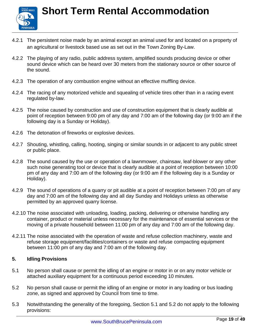

- 4.2.1 The persistent noise made by an animal except an animal used for and located on a property of an agricultural or livestock based use as set out in the Town Zoning By-Law.
- 4.2.2 The playing of any radio, public address system, amplified sounds producing device or other sound device which can be heard over 30 meters from the stationary source or other source of the sound.
- 4.2.3 The operation of any combustion engine without an effective muffling device.
- 4.2.4 The racing of any motorized vehicle and squealing of vehicle tires other than in a racing event regulated by-law.
- 4.2.5 The noise caused by construction and use of construction equipment that is clearly audible at point of reception between 9:00 pm of any day and 7:00 am of the following day (or 9:00 am if the following day is a Sunday or Holiday).
- 4.2.6 The detonation of fireworks or explosive devices.
- 4.2.7 Shouting, whistling, calling, hooting, singing or similar sounds in or adjacent to any public street or public place.
- 4.2.8 The sound caused by the use or operation of a lawnmower, chainsaw, leaf-blower or any other such noise generating tool or device that is clearly audible at a point of reception between 10:00 pm of any day and 7:00 am of the following day (or 9:00 am if the following day is a Sunday or Holiday).
- 4.2.9 The sound of operations of a quarry or pit audible at a point of reception between 7:00 pm of any day and 7:00 am of the following day and all day Sunday and Holidays unless as otherwise permitted by an approved quarry license.
- 4.2.10 The noise associated with unloading, loading, packing, delivering or otherwise handling any container, product or material unless necessary for the maintenance of essential services or the moving of a private household between 11:00 pm of any day and 7:00 am of the following day.
- 4.2.11 The noise associated with the operation of waste and refuse collection machinery, waste and refuse storage equipment/facilities/containers or waste and refuse compacting equipment between 11:00 pm of any day and 7:00 am of the following day.

#### **5. Idling Provisions**

- 5.1 No person shall cause or permit the idling of an engine or motor in or on any motor vehicle or attached auxiliary equipment for a continuous period exceeding 10 minutes.
- 5.2 No person shall cause or permit the idling of an engine or motor in any loading or bus loading zone, as signed and approved by Council from time to time.
- 5.3 Notwithstanding the generality of the foregoing, Section 5.1 and 5.2 do not apply to the following provisions: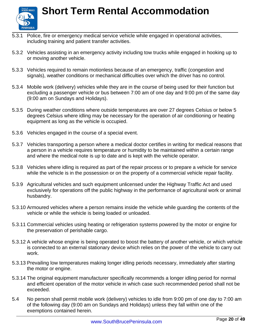

- 5.3.1 Police, fire or emergency medical service vehicle while engaged in operational activities, including training and patient transfer activities.
- 5.3.2 Vehicles assisting in an emergency activity including tow trucks while engaged in hooking up to or moving another vehicle.
- 5.3.3 Vehicles required to remain motionless because of an emergency, traffic (congestion and signals), weather conditions or mechanical difficulties over which the driver has no control.
- 5.3.4 Mobile work (delivery) vehicles while they are in the course of being used for their function but excluding a passenger vehicle or bus between 7:00 am of one day and 9:00 pm of the same day (9:00 am on Sundays and Holidays).
- 5.3.5 During weather conditions where outside temperatures are over 27 degrees Celsius or below 5 degrees Celsius where idling may be necessary for the operation of air conditioning or heating equipment as long as the vehicle is occupied.
- 5.3.6 Vehicles engaged in the course of a special event.
- 5.3.7 Vehicles transporting a person where a medical doctor certifies in writing for medical reasons that a person in a vehicle requires temperature or humidity to be maintained within a certain range and where the medical note is up to date and is kept with the vehicle operator.
- 5.3.8 Vehicles where idling is required as part of the repair process or to prepare a vehicle for service while the vehicle is in the possession or on the property of a commercial vehicle repair facility.
- 5.3.9 Agricultural vehicles and such equipment unlicensed under the Highway Traffic Act and used exclusively for operations off the public highway in the performance of agricultural work or animal husbandry.
- 5.3.10 Armoured vehicles where a person remains inside the vehicle while guarding the contents of the vehicle or while the vehicle is being loaded or unloaded.
- 5.3.11 Commercial vehicles using heating or refrigeration systems powered by the motor or engine for the preservation of perishable cargo.
- 5.3.12 A vehicle whose engine is being operated to boost the battery of another vehicle, or which vehicle is connected to an external stationary device which relies on the power of the vehicle to carry out work.
- 5.3.13 Prevailing low temperatures making longer idling periods necessary, immediately after starting the motor or engine.
- 5.3.14 The original equipment manufacturer specifically recommends a longer idling period for normal and efficient operation of the motor vehicle in which case such recommended period shall not be exceeded.
- 5.4 No person shall permit mobile work (delivery) vehicles to idle from 9:00 pm of one day to 7:00 am of the following day (9:00 am on Sundays and Holidays) unless they fall within one of the exemptions contained herein.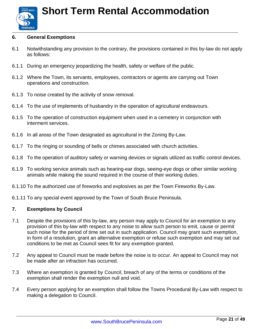

#### **6. General Exemptions**

- 6.1 Notwithstanding any provision to the contrary, the provisions contained in this by-law do not apply as follows:
- 6.1.1 During an emergency jeopardizing the health, safety or welfare of the public.
- 6.1.2 Where the Town, its servants, employees, contractors or agents are carrying out Town operations and construction.
- 6.1.3 To noise created by the activity of snow removal.
- 6.1.4 To the use of implements of husbandry in the operation of agricultural endeavours.
- 6.1.5 To the operation of construction equipment when used in a cemetery in conjunction with interment services.
- 6.1.6 In all areas of the Town designated as agricultural in the Zoning By-Law.
- 6.1.7 To the ringing or sounding of bells or chimes associated with church activities.
- 6.1.8 To the operation of auditory safety or warning devices or signals utilized as traffic control devices.
- 6.1.9 To working service animals such as hearing-ear dogs, seeing-eye dogs or other similar working animals while making the sound required in the course of their working duties.
- 6.1.10 To the authorized use of fireworks and explosives as per the Town Fireworks By-Law.
- 6.1.11 To any special event approved by the Town of South Bruce Peninsula.

#### **7. Exemptions by Council**

- 7.1 Despite the provisions of this by-law, any person may apply to Council for an exemption to any provision of this by-law with respect to any noise to allow such person to emit, cause or permit such noise for the period of time set out in such application. Council may grant such exemption, in form of a resolution, grant an alternative exemption or refuse such exemption and may set out conditions to be met as Council sees fit for any exemption granted.
- 7.2 Any appeal to Council must be made before the noise is to occur. An appeal to Council may not be made after an infraction has occurred.
- 7.3 Where an exemption is granted by Council, breach of any of the terms or conditions of the exemption shall render the exemption null and void.
- 7.4 Every person applying for an exemption shall follow the Towns Procedural By-Law with respect to making a delegation to Council.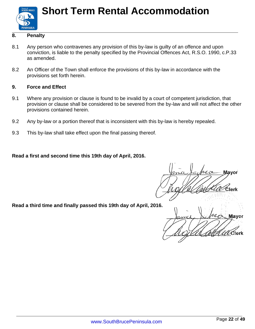

#### **8. Penalty**

- 8.1 Any person who contravenes any provision of this by-law is guilty of an offence and upon conviction, is liable to the penalty specified by the Provincial Offences Act, R.S.O. 1990, c.P.33 as amended.
- 8.2 An Officer of the Town shall enforce the provisions of this by-law in accordance with the provisions set forth herein.

#### **9. Force and Effect**

- 9.1 Where any provision or clause is found to be invalid by a court of competent jurisdiction, that provision or clause shall be considered to be severed from the by-law and will not affect the other provisions contained herein.
- 9.2 Any by-law or a portion thereof that is inconsistent with this by-law is hereby repealed.
- 9.3 This by-law shall take effect upon the final passing thereof.

**Read a first and second time this 19th day of April, 2016.**

**May**  $\mathcal{T}$ ) ်lerk

**Read a third time and finally passed this 19th day of April, 2016.**

Mavor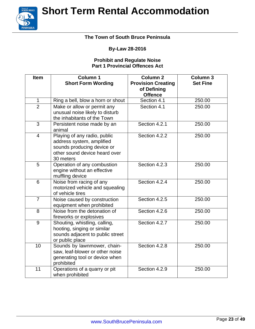

#### **The Town of South Bruce Peninsula**

#### **By-Law 28-2016**

#### **Prohibit and Regulate Noise Part 1 Provincial Offences Act**

| <b>Item</b>    | <b>Column 1</b><br><b>Short Form Wording</b>                                                                                          | Column <sub>2</sub><br><b>Provision Creating</b><br>of Defining | <b>Column 3</b><br><b>Set Fine</b> |
|----------------|---------------------------------------------------------------------------------------------------------------------------------------|-----------------------------------------------------------------|------------------------------------|
|                |                                                                                                                                       | <b>Offence</b>                                                  |                                    |
| $\mathbf{1}$   | Ring a bell, blow a horn or shout                                                                                                     | Section 4.1                                                     | 250.00                             |
| $\overline{2}$ | Make or allow or permit any<br>unusual noise likely to disturb<br>the inhabitants of the Town                                         | Section 4.1                                                     | 250.00                             |
| 3              | Persistent noise made by an<br>animal                                                                                                 | Section 4.2.1                                                   | 250.00                             |
| $\overline{4}$ | Playing of any radio, public<br>address system, amplified<br>sounds producing device or<br>other sound device heard over<br>30 meters | Section 4.2.2                                                   | 250.00                             |
| 5              | Operation of any combustion<br>engine without an effective<br>muffling device                                                         | Section 4.2.3                                                   | 250.00                             |
| 6              | Noise from racing of any<br>motorized vehicle and squealing<br>of vehicle tires                                                       | Section 4.2.4                                                   | 250.00                             |
| $\overline{7}$ | Noise caused by construction<br>equipment when prohibited                                                                             | Section 4.2.5                                                   | 250.00                             |
| 8              | Noise from the detonation of<br>fireworks or explosives                                                                               | Section 4.2.6                                                   | 250.00                             |
| 9              | Shouting, whistling, calling,<br>hooting, singing or similar<br>sounds adjacent to public street<br>or public place                   | Section 4.2.7                                                   | 250.00                             |
| 10             | Sounds by lawnmower, chain-<br>saw, leaf-blower or other noise<br>generating tool or device when<br>prohibited                        | Section 4.2.8                                                   | 250.00                             |
| 11             | Operations of a quarry or pit<br>when prohibited                                                                                      | Section 4.2.9                                                   | 250.00                             |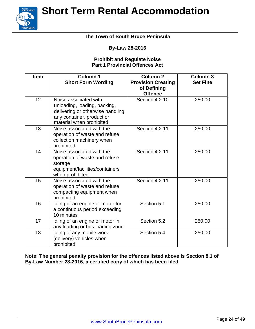Town of<br>**SOUTH BRUCE PENINSULA** 

# **Short Term Rental Accommodation**

#### **The Town of South Bruce Peninsula**

#### **By-Law 28-2016**

#### **Prohibit and Regulate Noise Part 1 Provincial Offences Act**

| <b>Item</b>     | <b>Column 1</b><br><b>Short Form Wording</b>                                                                                                       | Column <sub>2</sub><br><b>Provision Creating</b><br>of Defining<br><b>Offence</b> | <b>Column 3</b><br><b>Set Fine</b> |
|-----------------|----------------------------------------------------------------------------------------------------------------------------------------------------|-----------------------------------------------------------------------------------|------------------------------------|
| 12 <sup>2</sup> | Noise associated with<br>unloading, loading, packing,<br>delivering or otherwise handling<br>any container, product or<br>material when prohibited | Section 4.2.10                                                                    | 250.00                             |
| 13              | Noise associated with the<br>operation of waste and refuse<br>collection machinery when<br>prohibited                                              | Section 4.2.11                                                                    | 250.00                             |
| 14              | Noise associated with the<br>operation of waste and refuse<br>storage<br>equipment/facilities/containers<br>when prohibited                        | <b>Section 4.2.11</b>                                                             | 250.00                             |
| 15              | Noise associated with the<br>operation of waste and refuse<br>compacting equipment when<br>prohibited                                              | Section 4.2.11                                                                    | 250.00                             |
| 16              | Idling of an engine or motor for<br>a continuous period exceeding<br>10 minutes                                                                    | Section 5.1                                                                       | 250.00                             |
| 17              | Idling of an engine or motor in<br>any loading or bus loading zone                                                                                 | Section 5.2                                                                       | 250.00                             |
| 18              | Idling of any mobile work<br>(delivery) vehicles when<br>prohibited                                                                                | Section 5.4                                                                       | 250.00                             |

**Note: The general penalty provision for the offences listed above is Section 8.1 of By-Law Number 28-2016, a certified copy of which has been filed.**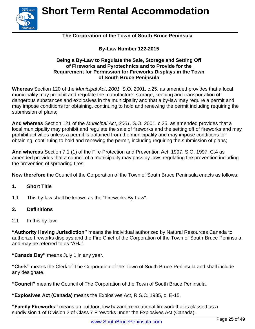

#### **The Corporation of the Town of South Bruce Peninsula**

#### **By-Law Number 122-2015**

#### **Being a By-Law to Regulate the Sale, Storage and Setting Off of Fireworks and Pyrotechnics and to Provide for the Requirement for Permission for Fireworks Displays in the Town of South Bruce Peninsula**

**Whereas** Section 120 of the *Municipal Act*, *2001,* S.O. 2001, c.25, as amended provides that a local municipality may prohibit and regulate the manufacture, storage, keeping and transportation of dangerous substances and explosives in the municipality and that a by-law may require a permit and may impose conditions for obtaining, continuing to hold and renewing the permit including requiring the submission of plans;

**And whereas** Section 121 of the *Municipal Act*, *2001,* S.O. 2001, c.25, as amended provides that a local municipality may prohibit and regulate the sale of fireworks and the setting off of fireworks and may prohibit activities unless a permit is obtained from the municipality and may impose conditions for obtaining, continuing to hold and renewing the permit, including requiring the submission of plans;

**And whereas** Section 7.1 (1) of the Fire Protection and Prevention Act, 1997, S.O. 1997, C.4 as amended provides that a council of a municipality may pass by-laws regulating fire prevention including the prevention of spreading fires;

**Now therefore** the Council of the Corporation of the Town of South Bruce Peninsula enacts as follows:

#### **1. Short Title**

1.1 This by-law shall be known as the "Fireworks By-Law".

#### **2. Definitions**

2.1 In this by-law:

**"Authority Having Jurisdiction"** means the individual authorized by Natural Resources Canada to authorize fireworks displays and the Fire Chief of the Corporation of the Town of South Bruce Peninsula and may be referred to as "AHJ".

**"Canada Day"** means July 1 in any year.

**"Clerk"** means the Clerk of The Corporation of the Town of South Bruce Peninsula and shall include any designate.

**"Council"** means the Council of The Corporation of the Town of South Bruce Peninsula.

**"Explosives Act (Canada)** means the Explosives Act, R.S.C. 1985, c. E-15.

**"Family Fireworks"** means an outdoor, low hazard, recreational firework that is classed as a subdivision 1 of Division 2 of Class 7 Fireworks under the Explosives Act (Canada).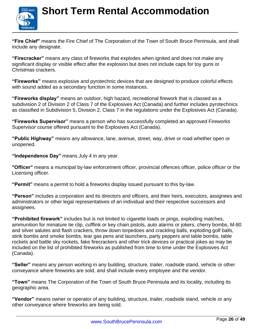

**"Fire Chief"** means the Fire Chief of The Corporation of the Town of South Bruce Peninsula, and shall include any designate.

**"Firecracker"** means any class of fireworks that explodes when ignited and does not make any significant display or visible effect after the explosion but does not include caps for toy guns or Christmas crackers.

**"Fireworks"** means explosive and pyrotechnic devices that are designed to produce colorful effects with sound added as a secondary function in some instances.

**"Fireworks display"** means an outdoor, high hazard, recreational firework that is classed as a subdivision 2 of Division 2 of Class 7 of the Explosives Act (Canada) and further includes pyrotechnics as classified in Subdivision 5, Division 2, Class 7 in the regulations under the Explosives Act (Canada).

**"Fireworks Supervisor"** means a person who has successfully completed an approved Fireworks Supervisor course offered pursuant to the Explosives Act (Canada).

**"Public Highway"** means any allowance, lane, avenue, street, way, drive or road whether open or unopened.

**"Independence Day"** means July 4 in any year.

**"Officer"** means a municipal by-law enforcement officer, provincial offences officer, police officer or the Licensing officer.

**"Permit"** means a permit to hold a fireworks display issued pursuant to this by-law.

**"Person"** includes a corporation and its directors and officers, and their heirs, executors, assignees and administrators or other legal representatives of an individual and their respective successors and assignees.

**"Prohibited firework"** includes but is not limited to cigarette loads or pings, exploding matches, ammunition for miniature tie clip, cufflink or key chain pistols, auto alarms or jokers, cherry bombs, M-80 and silver salutes and flash crackers, throw down torpedoes and crackling balls, exploding golf balls, stink bombs and smoke bombs, tear gas pens and launchers, party peppers and table bombs, table rockets and battle sky rockets, fake firecrackers and other trick devices or practical jokes as may be included on the list of prohibited fireworks as published from time to time under the Explosives Act (Canada).

**"Seller"** means any person working in any building, structure, trailer, roadside stand, vehicle or other conveyance where fireworks are sold, and shall include every employee and the vendor.

**"Town"** means The Corporation of the Town of South Bruce Peninsula and its locality, including its geographic area.

**"Vendor"** means owner or operator of any building, structure, trailer, roadside stand, vehicle or any other conveyance where fireworks are being sold.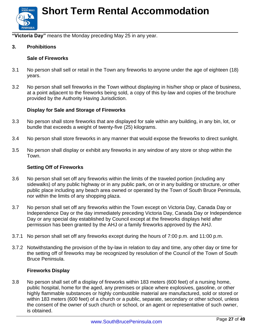

**"Victoria Day"** means the Monday preceding May 25 in any year.

#### **3. Prohibitions**

#### **Sale of Fireworks**

- 3.1 No person shall sell or retail in the Town any fireworks to anyone under the age of eighteen (18) years.
- 3.2 No person shall sell fireworks in the Town without displaying in his/her shop or place of business, at a point adjacent to the fireworks being sold, a copy of this by-law and copies of the brochure provided by the Authority Having Jurisdiction.

#### **Display for Sale and Storage of Fireworks**

- 3.3 No person shall store fireworks that are displayed for sale within any building, in any bin, lot, or bundle that exceeds a weight of twenty-five (25) kilograms.
- 3.4 No person shall store fireworks in any manner that would expose the fireworks to direct sunlight.
- 3.5 No person shall display or exhibit any fireworks in any window of any store or shop within the Town.

#### **Setting Off of Fireworks**

- 3.6 No person shall set off any fireworks within the limits of the traveled portion (including any sidewalks) of any public highway or in any public park, on or in any building or structure, or other public place including any beach area owned or operated by the Town of South Bruce Peninsula, nor within the limits of any shopping plaza.
- 3.7 No person shall set off any fireworks within the Town except on Victoria Day, Canada Day or Independence Day or the day immediately preceding Victoria Day, Canada Day or Independence Day or any special day established by Council except at the fireworks displays held after permission has been granted by the AHJ or a family fireworks approved by the AHJ.
- 3.7.1 No person shall set off any fireworks except during the hours of 7:00 p.m. and 11:00 p.m.
- 3.7.2 Notwithstanding the provision of the by-law in relation to day and time, any other day or time for the setting off of fireworks may be recognized by resolution of the Council of the Town of South Bruce Peninsula.

#### **Fireworks Display**

3.8 No person shall set off a display of fireworks within 183 meters (600 feet) of a nursing home, public hospital, home for the aged, any premises or place where explosives, gasoline, or other highly flammable substances or highly combustible material are manufactured, sold or stored or within 183 meters (600 feet) of a church or a public, separate, secondary or other school, unless the consent of the owner of such church or school, or an agent or representative of such owner, is obtained.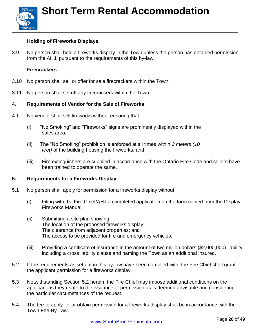

#### **Holding of Fireworks Displays**

3.9 No person shall hold a fireworks display in the Town unless the person has obtained permission from the AHJ, pursuant to the requirements of this by-law.

#### **Firecrackers**

- 3.10 No person shall sell or offer for sale firecrackers within the Town.
- 3.11 No person shall set off any firecrackers within the Town.

#### **4. Requirements of Vendor for the Sale of Fireworks**

- 4.1 No vendor shall sell fireworks without ensuring that:
	- (i) "No Smoking" and "Fireworks" signs are prominently displayed within the sales area;
	- (ii) The "No Smoking" prohibition is enforced at all times within *3 meters (10 feet)* of the building housing the fireworks; and
	- (iii) Fire extinguishers are supplied in accordance with the Ontario Fire Code and sellers have been trained to operate the same.

#### **5. Requirements for a Fireworks Display**

- 5.1 No person shall apply for permission for a fireworks display without:
	- (i) Filing with the Fire Chief/AHJ a completed application on the form copied from the Display Fireworks Manual.
	- (ii) Submitting a site plan showing: The location of the proposed fireworks display; The clearance from adjacent properties; and The access to be provided for fire and emergency vehicles.
	- (iii) Providing a certificate of insurance in the amount of two million dollars (\$2,000,000) liability including a cross liability clause and naming the Town as an additional insured.
- 5.2 If the requirements as set out in this by-law have been complied with, the Fire Chief shall grant the applicant permission for a fireworks display.
- 5.3 Notwithstanding Section 5.2 herein, the Fire Chief may impose additional conditions on the applicant as they relate to the issuance of permission as is deemed advisable and considering the particular circumstances of the request.
- 5.4 The fee to apply for or obtain permission for a fireworks display shall be in accordance with the Town Fee-By-Law.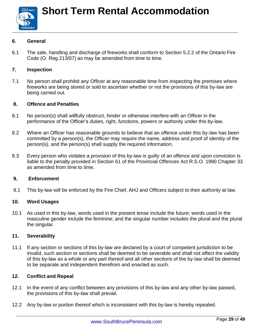

#### **6. General**

6.1 The sale, handling and discharge of fireworks shall conform to Section 5.2.2 of the Ontario Fire Code (O. Reg 213/07) as may be amended from time to time*.*

#### **7. Inspection**

7.1 No person shall prohibit any Officer at any reasonable time from inspecting the premises where fireworks are being stored or sold to ascertain whether or not the provisions of this by-law are being carried out.

#### **8. Offence and Penalties**

- 8.1 No person(s) shall willfully obstruct, hinder or otherwise interfere with an Officer in the performance of the Officer's duties, right, functions, powers or authority under this by-law.
- 8.2 Where an Officer has reasonable grounds to believe that an offence under this by-law has been committed by a person(s), the Officer may require the name, address and proof of identity of the person(s), and the person(s) shall supply the required information.
- 8.3 Every person who violates a provision of this by-law is guilty of an offence and upon conviction is liable to the penalty provided in Section 61 of the Provincial Offences Act R.S.O. 1990 Chapter 33 as amended from time to time.

#### **9. Enforcement**

9.1 This by-law will be enforced by the Fire Chief, AHJ and Officers subject to their authority at law.

#### **10. Word Usages**

10.1 As used in this by-law, words used in the present tense include the future; words used in the masculine gender include the feminine; and the singular number includes the plural and the plural the singular.

#### **11. Severability**

11.1 If any section or sections of this by-law are declared by a court of competent jurisdiction to be invalid, such section or sections shall be deemed to be severable and shall not affect the validity of this by-law as a whole or any part thereof and all other sections of the by-law shall be deemed to be separate and independent therefrom and enacted as such.

#### **12. Conflict and Repeal**

- 12.1 In the event of any conflict between any provisions of this by-law and any other by-law passed, the provisions of this by-law shall prevail.
- 12.2 Any by-law or portion thereof which is inconsistent with this by-law is hereby repealed.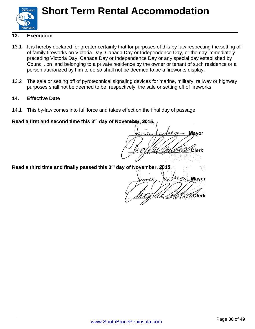

#### **13. Exemption**

- 13.1 It is hereby declared for greater certainty that for purposes of this by-law respecting the setting off of family fireworks on Victoria Day, Canada Day or Independence Day, or the day immediately preceding Victoria Day, Canada Day or Independence Day or any special day established by Council, on land belonging to a private residence by the owner or tenant of such residence or a person authorized by him to do so shall not be deemed to be a fireworks display.
- 13.2 The sale or setting off of pyrotechnical signaling devices for marine, military, railway or highway purposes shall not be deemed to be, respectively, the sale or setting off of fireworks.

#### **14. Effective Date**

14.1 This by-law comes into full force and takes effect on the final day of passage.

#### **Read a first and second time this 3 rd day of November, 2015.**

Mavor mai

**Read a third time and finally passed this 3 rd day of November, 2015.**

Mavor lerk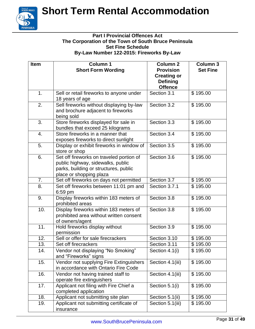

#### **Part I Provincial Offences Act The Corporation of the Town of South Bruce Peninsula Set Fine Schedule By-Law Number 122-2015: Fireworks By-Law**

| <b>Item</b>       | <b>Column 1</b><br><b>Short Form Wording</b>                                                                                                      | <b>Column 2</b><br><b>Provision</b><br><b>Creating or</b><br><b>Defining</b><br><b>Offence</b> | <b>Column 3</b><br><b>Set Fine</b> |
|-------------------|---------------------------------------------------------------------------------------------------------------------------------------------------|------------------------------------------------------------------------------------------------|------------------------------------|
| 1.                | Sell or retail fireworks to anyone under<br>18 years of age                                                                                       | Section 3.1                                                                                    | \$195.00                           |
| 2.                | Sell fireworks without displaying by-law<br>and brochure adjacent to fireworks<br>being sold                                                      | Section 3.2                                                                                    | \$195.00                           |
| 3.                | Store fireworks displayed for sale in<br>bundles that exceed 25 kilograms                                                                         | Section 3.3                                                                                    | \$195.00                           |
| 4.                | Store fireworks in a manner that<br>exposes fireworks to direct sunlight                                                                          | Section 3.4                                                                                    | \$195.00                           |
| 5.                | Display or exhibit fireworks in window of<br>store or shop                                                                                        | Section 3.5                                                                                    | \$195.00                           |
| 6.                | Set off fireworks on traveled portion of<br>public highway, sidewalks, public<br>parks, building or structures, public<br>place or shopping plaza | Section 3.6                                                                                    | \$195.00                           |
| 7.                | Set off fireworks on days not permitted                                                                                                           | Section 3.7                                                                                    | \$195.00                           |
| 8.                | Set off fireworks between 11:01 pm and<br>$6:59$ pm                                                                                               | Section 3.7.1                                                                                  | \$195.00                           |
| 9.                | Display fireworks within 183 meters of<br>prohibited areas                                                                                        | Section 3.8                                                                                    | \$195.00                           |
| 10.               | Display fireworks within 183 meters of<br>prohibited area without written consent<br>of owners/agent                                              | Section 3.8                                                                                    | \$195.00                           |
| 11.               | Hold fireworks display without<br>permission                                                                                                      | Section 3.9                                                                                    | \$195.00                           |
| $\overline{12}$ . | Sell or offer for sale firecrackers                                                                                                               | Section 3.10                                                                                   | \$195.00                           |
| $\overline{13}$ . | Set off firecrackers                                                                                                                              | Section 3.11                                                                                   | \$195.00                           |
| 14.               | Vendor not displaying "No Smoking"<br>and "Fireworks" signs                                                                                       | Section 4.1(i)                                                                                 | \$195.00                           |
| 15.               | Vendor not supplying Fire Extinguishers<br>in accordance with Ontario Fire Code                                                                   | Section 4.1(iii)                                                                               | \$195.00                           |
| 16.               | Vendor not having trained staff to<br>operate fire extinguishers                                                                                  | Section 4.1(iii)                                                                               | \$195.00                           |
| 17.               | Applicant not filing with Fire Chief a<br>completed application                                                                                   | Section 5.1(i)                                                                                 | \$195.00                           |
| 18.               | Applicant not submitting site plan                                                                                                                | Section 5.1(ii)                                                                                | \$195.00                           |
| 19.               | Applicant not submitting certificate of<br>insurance                                                                                              | Section 5.1(iii)                                                                               | \$195.00                           |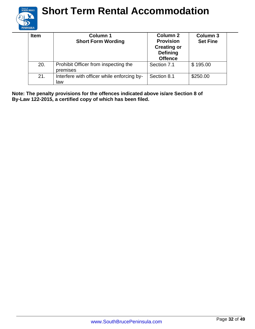

| <b>Item</b> | Column 1<br><b>Short Form Wording</b>             | <b>Column 2</b><br><b>Provision</b><br><b>Creating or</b><br><b>Defining</b><br><b>Offence</b> | <b>Column 3</b><br><b>Set Fine</b> |
|-------------|---------------------------------------------------|------------------------------------------------------------------------------------------------|------------------------------------|
| 20.         | Prohibit Officer from inspecting the<br>premises  | Section 7.1                                                                                    | \$195.00                           |
| 21.         | Interfere with officer while enforcing by-<br>law | Section 8.1                                                                                    | \$250.00                           |

**Note: The penalty provisions for the offences indicated above is/are Section 8 of By-Law 122-2015, a certified copy of which has been filed.**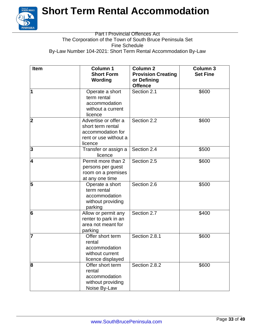

#### Part I Provincial Offences Act The Corporation of the Town of South Bruce Peninsula Set Fine Schedule By-Law Number 104-2021: Short Term Rental Accommodation By-Law

| <b>Item</b> | <b>Column 1</b><br><b>Short Form</b><br>Wording                                                    | <b>Column 2</b><br><b>Provision Creating</b><br>or Defining<br><b>Offence</b> | <b>Column 3</b><br><b>Set Fine</b> |
|-------------|----------------------------------------------------------------------------------------------------|-------------------------------------------------------------------------------|------------------------------------|
| 1           | Operate a short<br>term rental<br>accommodation<br>without a current<br>licence                    | Section 2.1                                                                   | \$600                              |
| 2           | Advertise or offer a<br>short term rental<br>accommodation for<br>rent or use without a<br>licence | Section 2.2                                                                   | \$600                              |
| 3           | Transfer or assign a<br>licence                                                                    | Section 2.4                                                                   | \$500                              |
| 4           | Permit more than 2<br>persons per guest<br>room on a premises<br>at any one time                   | Section 2.5                                                                   | \$600                              |
| 5           | Operate a short<br>term rental<br>accommodation<br>without providing<br>parking                    | Section 2.6                                                                   | \$500                              |
| 6           | Allow or permit any<br>renter to park in an<br>area not meant for<br>parking                       | Section 2.7                                                                   | \$400                              |
| 7           | Offer short term<br>rental<br>accommodation<br>without current<br>licence displayed                | Section 2.8.1                                                                 | \$600                              |
| 8           | Offer short term<br>rental<br>accommodation<br>without providing<br>Noise By-Law                   | Section 2.8.2                                                                 | \$600                              |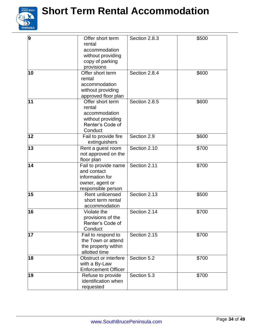

| 9  | Offer short term<br>rental<br>accommodation<br>without providing<br>copy of parking<br>provisions | Section 2.8.3 | \$500 |
|----|---------------------------------------------------------------------------------------------------|---------------|-------|
| 10 | Offer short term<br>rental<br>accommodation<br>without providing<br>approved floor plan           | Section 2.8.4 | \$600 |
| 11 | Offer short term<br>rental<br>accommodation<br>without providing<br>Renter's Code of<br>Conduct   | Section 2.8.5 | \$600 |
| 12 | Fail to provide fire<br>extinguishers                                                             | Section 2.9   | \$600 |
| 13 | Rent a guest room<br>not approved on the<br>floor plan                                            | Section 2.10  | \$700 |
| 14 | Fail to provide name<br>and contact<br>information for<br>owner, agent or<br>responsible person   | Section 2.11  | \$700 |
| 15 | Rent unlicensed<br>short term rental<br>accommodation                                             | Section 2.13  | \$500 |
| 16 | Violate the<br>provisions of the<br>Renter's Code of<br>Conduct                                   | Section 2.14  | \$700 |
| 17 | Fail to respond to<br>the Town or attend<br>the property within<br>allotted time                  | Section 2.15  | \$700 |
| 18 | Obstruct or interfere<br>with a By-Law<br><b>Enforcement Officer</b>                              | Section 5.2   | \$700 |
| 19 | Refuse to provide<br>identification when<br>requested                                             | Section 5.3   | \$700 |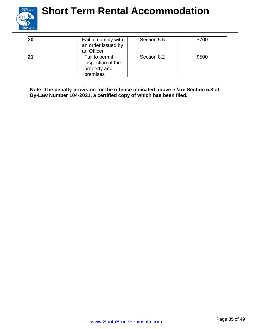

| 20 | Fail to comply with<br>an order issued by<br>an Officer         | Section 5.5 | \$700 |
|----|-----------------------------------------------------------------|-------------|-------|
|    | Fail to permit<br>inspection of the<br>property and<br>premises | Section 8.2 | \$500 |

**Note: The penalty provision for the offence indicated above is/are Section 5.8 of By-Law Number 104-2021, a certified copy of which has been filed.**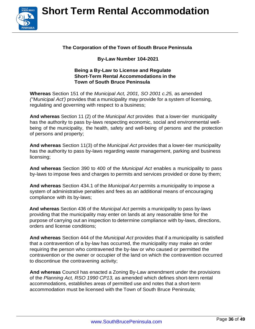

#### **The Corporation of the Town of South Bruce Peninsula**

#### **By-Law Number 104-2021**

#### **Being a By-Law to License and Regulate Short-Term Rental Accommodations in the Town of South Bruce Peninsula**

**Whereas** Section 151 of the *Municipal Act, 2001, SO 2001 c.25,* as amended *("Municipal Act')* provides that a municipality may provide for a system of licensing, regulating and governing with respect to a business;

**And whereas** Section 11 (2) of the *Municipal Act* provides that a lower-tier municipality has the authority to pass by-laws respecting economic, social and environmental wellbeing of the municipality, the health, safety and well-being of persons and the protection of persons and property;

**And whereas** Section 11(3) of the *Municipal Act* provides that a lower-tier municipality has the authority to pass by-laws regarding waste management, parking and business licensing;

**And whereas** Section 390 to 400 of the *Municipal Act* enables a municipality to pass by-laws to impose fees and charges to permits and services provided or done by them;

**And whereas** Section 434.1 of the *Municipal Act* permits a municipality to impose a system of administrative penalties and fees as an additional means of encouraging compliance with its by-laws;

**And whereas** Section 436 of the *Municipal Act* permits a municipality to pass by-laws providing that the municipality may enter on lands at any reasonable time for the purpose of carrying out an inspection to determine compliance with by-laws, directions, orders and license conditions;

**And whereas** Section 444 of the *Municipal Act* provides that if a municipality is satisfied that a contravention of a by-law has occurred, the municipality may make an order requiring the person who contravened the by-law or who caused or permitted the contravention or the owner or occupier of the land on which the contravention occurred to discontinue the contravening activity;

**And whereas** Council has enacted a Zoning By-Law amendment under the provisions of the *Planning Act, RSO 1990 CP13,* as amended which defines short-term rental accommodations, establishes areas of permitted use and notes that a short-term accommodation must be licensed with the Town of South Bruce Peninsula;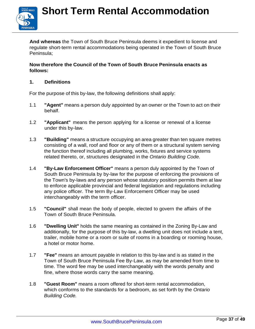

**And whereas** the Town of South Bruce Peninsula deems it expedient to license and regulate short-term rental accommodations being operated in the Town of South Bruce Peninsula;

#### **Now therefore the Council of the Town of South Bruce Peninsula enacts as follows:**

#### **1. Definitions**

For the purpose of this by-law, the following definitions shall apply:

- 1.1 **"Agent"** means a person duly appointed by an owner or the Town to act on their behalf.
- 1.2 **"Applicant"** means the person applying for a license or renewal of a license under this by-law.
- 1.3 **"Building"** means a structure occupying an area greater than ten square metres consisting of a wall, roof and floor or any of them or a structural system serving the function thereof including all plumbing, works, fixtures and service systems related thereto, or, structures designated in the *Ontario Building Code.*
- 1.4 **"By-Law Enforcement Officer"** means a person duly appointed by the Town of South Bruce Peninsula by by-law for the purpose of enforcing the provisions of the Town's by-laws and any person whose statutory position permits them at law to enforce applicable provincial and federal legislation and regulations including any police officer. The term By-Law Enforcement Officer may be used interchangeably with the term officer.
- 1.5 **"Council"** shall mean the body of people, elected to govern the affairs of the Town of South Bruce Peninsula.
- 1.6 **"Dwelling Unit"** holds the same meaning as contained in the Zoning By-Law and additionally, for the purpose of this by-law, a dwelling unit does not include a tent, trailer, mobile home or a room or suite of rooms in a boarding or rooming house, a hotel or motor home.
- 1.7 **"Fee"** means an amount payable in relation to this by-law and is as stated in the Town of South Bruce Peninsula Fee By-Law, as may be amended from time to time. The word fee may be used interchangeably with the words penalty and fine, where those words carry the same meaning.
- 1.8 **"Guest Room"** means a room offered for short-term rental accommodation, which conforms to the standards for a bedroom, as set forth by the *Ontario Building Code.*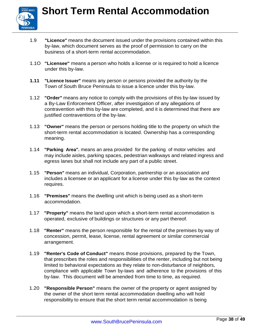

- 1.9 **"Licence"** means the document issued under the provisions contained within this by-law, which document serves as the proof of permission to carry on the business of a short-term rental accommodation.
- 1.1O **"Licensee"** means a person who holds a license or is required to hold a licence under this by-law.
- **1.11 "Licence Issuer"** means any person or persons provided the authority by the Town of South Bruce Peninsula to issue a licence under this by-law.
- 1.12 **"Order"** means any notice to comply with the provisions of this by-law issued by a By-Law Enforcement Officer, after investigation of any allegations of contravention with this by-law are completed, and it is determined that there are justified contraventions of the by-law.
- 1.13 **"Owner"** means the person or persons holding title to the property on which the short-term rental accommodation is located. Ownership has a corresponding meaning.
- 1.14 **"Parking Area".** means an area provided for the parking of motor vehicles and may include aisles, parking spaces, pedestrian walkways and related ingress and egress lanes but shall not include any part of a public street.
- 1.15 **"Person"** means an individual, Corporation, partnership or an association and includes a licensee or an applicant for a license under this by-law as the context requires.
- 1.16 **"Premises"** means the dwelling unit which is being used as a short-term accommodation.
- 1.17 **"Property"** means the land upon which a short-term rental accommodation is operated, exclusive of buildings or structures or any part thereof.
- 1.18 **"Renter"** means the person responsible for the rental of the premises by way of concession, permit, lease, license, rental agreement or similar commercial arrangement.
- 1.19 **"Renter's Code of Conduct"** means those provisions, prepared by the Town, that prescribes the roles and responsibilities of the renter, including but not being limited to behavioral expectations as they relate to non-disturbance of neighbors, compliance with applicable Town by-laws and adherence to the provisions of this by-law. This document will be amended from time to time, as required.
- 1.20 **"Responsible Person"** means the owner of the property or agent assigned by the owner of the short term rental accommodation dwelling who will hold responsibility to ensure that the short term rental accommodation is being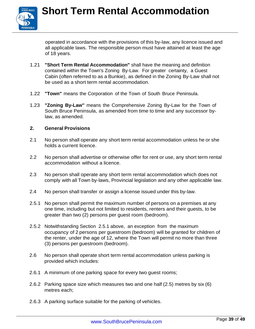

operated in accordance with the provisions of this by-law, any licence issued and all applicable laws. The responsible person must have attained at least the age of 18 years.

- 1.21 **"Short Term Rental Accommodation"** shall have the meaning and definition contained within the Town's Zoning By-Law. For greater certainty, a Guest Cabin (often referred to as a Bunkie), as defined in the Zoning By-Law shall not be used as a short term rental accommodation.
- 1.22 **"Town"** means the Corporation of the Town of South Bruce Peninsula.
- 1.23 **"Zoning By-Law''** means the Comprehensive Zoning By-Law for the Town of South Bruce Peninsula, as amended from time to time and any successor bylaw, as amended.

#### **2. General Provisions**

- 2.1 No person shall operate any short term rental accommodation unless he or she holds a current licence.
- 2.2 No person shall advertise or otherwise offer for rent or use, any short term rental accommodation without a licence.
- 2.3 No person shall operate any short term rental accommodation which does not comply with all Town by-laws, Provincial legislation and any other applicable law.
- 2.4 No person shall transfer or assign a license issued under this by-law.
- 2.5.1 No person shall permit the maximum number of persons on a premises at any one time, including but not limited to residents, renters and their guests, to be greater than two (2) persons per guest room (bedroom).
- 2.5.2 Notwithstanding Section 2.5.1 above, an exception from the maximum occupancy of 2 persons per guestroom (bedroom) will be granted for children of the renter, under the age of 12, where the Town will permit no more than three (3) persons per guestroom (bedroom).
- 2.6 No person shall operate short term rental accommodation unless parking is provided which includes:
- 2.6.1 A minimum of one parking space for every two guest rooms;
- 2.6.2 Parking space size which measures two and one half (2.5) metres by six (6) metres each;
- 2.6.3 A parking surface suitable for the parking of vehicles.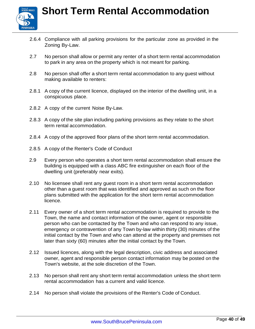

- 2.6.4 Compliance with all parking provisions for the particular zone as provided in the Zoning By-Law.
- 2.7 No person shall allow or permit any renter of a short term rental accommodation to park in any area on the property which is not meant for parking.
- 2.8 No person shall offer a short term rental accommodation to any guest without making available to renters:
- 2.8.1 A copy of the current licence, displayed on the interior of the dwelling unit, in a conspicuous place.
- 2.8.2 A copy of the current Noise By-Law.
- 2.8.3 A copy of the site plan including parking provisions as they relate to the short term rental accommodation.
- 2.8.4 A copy of the approved floor plans of the short term rental accommodation.
- 2.8.5 A copy of the Renter's Code of Conduct
- 2.9 Every person who operates a short term rental accommodation shall ensure the building is equipped with a class ABC fire extinguisher on each floor of the dwelling unit (preferably near exits).
- 2.10 No licensee shall rent any guest room in a short term rental accommodation other than a guest room that was identified and approved as such on the floor plans submitted with the application for the short term rental accommodation licence.
- 2.11 Every owner of a short term rental accommodation is required to provide to the Town, the name and contact information of the owner, agent or responsible person who can be contacted by the Town and who can respond to any issue, emergency or contravention of any Town by-law within thirty (30) minutes of the initial contact by the Town and who can attend at the property and premises not later than sixty (60) minutes after the initial contact by the Town.
- 2.12 Issued licences, along with the legal description, civic address and associated owner, agent and responsible person contact information may be posted on the Town's website, at the sole discretion of the Town.
- 2.13 No person shall rent any short term rental accommodation unless the short term rental accommodation has a current and valid licence.
- 2.14 No person shall violate the provisions of the Renter's Code of Conduct.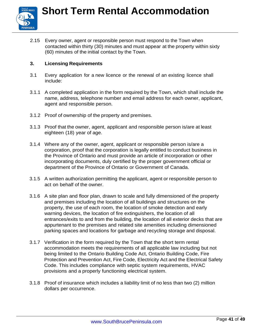

2.15 Every owner, agent or responsible person must respond to the Town when contacted within thirty (30) minutes and must appear at the property within sixty (60) minutes of the initial contact by the Town.

#### **3. Licensing Requirements**

- 3.1 Every application for a new licence or the renewal of an existing licence shall include:
- 3.1.1 A completed application in the form required by the Town, which shall include the name, address, telephone number and email address for each owner, applicant, agent and responsible person.
- 3.1.2 Proof of ownership of the property and premises.
- 3.1.3 Proof that the owner, agent, applicant and responsible person is/are at least eighteen (18) year of age.
- 3.1.4 Where any of the owner, agent, applicant or responsible person is/are a corporation, proof that the corporation is legally entitled to conduct business in the Province of Ontario and must provide an article of incorporation or other incorporating documents, duly certified by the proper government official or department of the Province of Ontario or Government of Canada.
- 3.1.5 A written authorization permitting the applicant, agent or responsible person to act on behalf of the owner.
- 3.1.6 A site plan and floor plan, drawn to scale and fully dimensioned of the property and premises including the location of all buildings and structures on the property, the use of each room, the location of smoke detection and early warning devices, the location of fire extinguishers, the location of all entrances/exits to and from the building, the location of all exterior decks that are appurtenant to the premises and related site amenities including dimensioned parking spaces and locations for garbage and recycling storage and disposal.
- 3.1.7 Verification in the form required by the Town that the short term rental accommodation meets the requirements of all applicable law including but not being limited to the Ontario Building Code Act, Ontario Building Code, Fire Protection and Prevention Act, Fire Code, Electricity Act and the Electrical Safety Code. This includes compliance with septic system requirements, HVAC provisions and a properly functioning electrical system.
- 3.1.8 Proof of insurance which includes a liability limit of no less than two (2) million dollars per occurrence.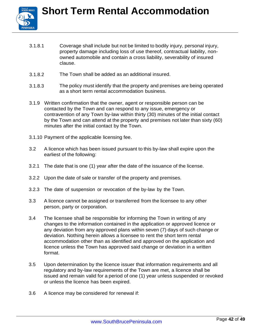- 3.1.8.1 Coverage shall include but not be limited to bodily injury, personal injury, property damage including loss of use thereof, contractual liability, nonowned automobile and contain a cross liability, severability of insured clause.
- 3.1.8.2 The Town shall be added as an additional insured.
- 3.1.8.3 The policy must identify that the property and premises are being operated as a short term rental accommodation business.
- 3.1.9 Written confirmation that the owner, agent or responsible person can be contacted by the Town and can respond to any issue, emergency or contravention of any Town by-law within thirty (30) minutes of the initial contact by the Town and can attend at the property and premises not later than sixty (60) minutes after the initial contact by the Town.
- 3.1.10 Payment of the applicable licensing fee.
- 3.2 A licence which has been issued pursuant to this by-law shall expire upon the earliest of the following:
- 3.2.1 The date that is one (1) year after the date of the issuance of the license.
- 3.2.2 Upon the date of sale or transfer of the property and premises.
- 3.2.3 The date of suspension or revocation of the by-law by the Town.
- 3.3 A licence cannot be assigned or transferred from the licensee to any other person, party or corporation.
- 3.4 The licensee shall be responsible for informing the Town in writing of any changes to the information contained in the application or approved licence or any deviation from any approved plans within seven (7) days of such change or deviation. Nothing herein allows a licensee to rent the short term rental accommodation other than as identified and approved on the application and licence unless the Town has approved said change or deviation in a written format.
- 3.5 Upon determination by the licence issuer that information requirements and all regulatory and by-law requirements of the Town are met, a licence shall be issued and remain valid for a period of one (1) year unless suspended or revoked or unless the licence has been expired.
- 3.6 A licence may be considered for renewal if: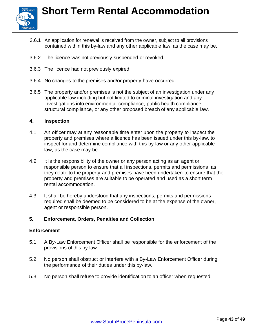

- 3.6.1 An application for renewal is received from the owner, subject to all provisions contained within this by-law and any other applicable law, as the case may be.
- 3.6.2 The licence was not previously suspended or revoked.
- 3.6.3 The licence had not previously expired.
- 3.6.4 No changes to the premises and/or property have occurred.
- 3.6.5 The property and/or premises is not the subject of an investigation under any applicable law including but not limited to criminal investigation and any investigations into environmental compliance, public health compliance, structural compliance, or any other proposed breach of any applicable law.

#### **4. Inspection**

- 4.1 An officer may at any reasonable time enter upon the property to inspect the property and premises where a licence has been issued under this by-law, to inspect for and determine compliance with this by-law or any other applicable law, as the case may be.
- 4.2 It is the responsibility of the owner or any person acting as an agent or responsible person to ensure that all inspections, permits and permissions as they relate to the property and premises have been undertaken to ensure that the property and premises are suitable to be operated and used as a short term rental accommodation.
- 4.3 It shall be hereby understood that any inspections, permits and permissions required shall be deemed to be considered to be at the expense of the owner, agent or responsible person.

#### **5. Enforcement, Orders, Penalties and Collection**

#### **Enforcement**

- 5.1 A By-Law Enforcement Officer shall be responsible for the enforcement of the provisions of this by-law.
- 5.2 No person shall obstruct or interfere with a By-Law Enforcement Officer during the performance of their duties under this by-law.
- 5.3 No person shall refuse to provide identification to an officer when requested.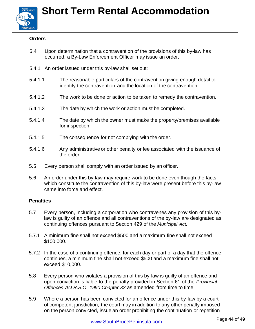

#### **Orders**

- 5.4 Upon determination that a contravention of the provisions of this by-law has occurred, a By-Law Enforcement Officer may issue an order.
- 5.4.1 An order issued under this by-law shall set out:
- 5.4.1.1 The reasonable particulars of the contravention giving enough detail to identify the contravention and the location of the contravention.
- 5.4.1.2 The work to be done or action to be taken to remedy the contravention.
- 5.4.1.3 The date by which the work or action must be completed.
- 5.4.1.4 The date by which the owner must make the property/premises available for inspection.
- 5.4.1.5 The consequence for not complying with the order.
- 5.4.1.6 Any administrative or other penalty or fee associated with the issuance of the order.
- 5.5 Every person shall comply with an order issued by an officer.
- 5.6 An order under this by-law may require work to be done even though the facts which constitute the contravention of this by-law were present before this by-law came into force and effect.

#### **Penalties**

- 5.7 Every person, including a corporation who contravenes any provision of this bylaw is guilty of an offence and all contraventions of the by-law are designated as continuing offences pursuant to Section 429 of the *Municipal Act.*
- 5.7.1 A minimum fine shall not exceed \$500 and a maximum fine shall not exceed \$100,000.
- 5.7.2 In the case of a continuing offence, for each day or part of a day that the offence continues, a minimum fine shall not exceed \$500 and a maximum fine shall not exceed \$10,000.
- 5.8 Every person who violates a provision of this by-law is guilty of an offence and upon conviction is liable to the penalty provided in Section 61 of the *Provincial Offences Act R.S.O. 1990 Chapter 33* as amended from time to time.
- 5.9 Where a person has been convicted for an offence under this by-law by a court of competent jurisdiction, the court may in addition to any other penalty imposed on the person convicted, issue an order prohibiting the continuation or repetition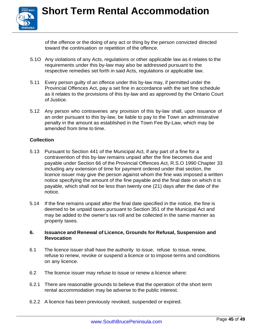of the offence or the doing of any act or thing by the person convicted directed toward the continuation or repetition of the offence.

- 5.1O Any violations of any Acts, regulations or other applicable law as it relates to the requirements under this by-law may also be addressed pursuant to the respective remedies set forth in said Acts, regulations or applicable law.
- 5.11 Every person guilty of an offence under this by-law may, if permitted under the Provincial Offences Act, pay a set fine in accordance with the set fine schedule as it relates to the provisions of this by-law and as approved by the Ontario Court of Justice.
- 5.12 Any person who contravenes any provision of this by-law shall, upon issuance of an order pursuant to this by-law, be liable to pay to the Town an administrative penalty in the amount as established in the Town Fee By-Law, which may be amended from time to time.

#### **Collection**

- 5.13 Pursuant to Section 441 of the Municipal Act, if any part of a fine for a contravention of this by-law remains unpaid after the fine becomes due and payable under Section 66 of the Provincial Offences Act, R.S.O 1990 Chapter 33 including any extension of time for payment ordered under that section, the licence issuer may give the person against whom the fine was imposed a written notice specifying the amount of the fine payable and the final date on which it is payable, which shall not be less than twenty one (21) days after the date of the notice.
- 5.14 If the fine remains unpaid after the final date specified in the notice, the fine is deemed to be unpaid taxes pursuant to Section 351 of the Municipal Act and may be added to the owner's tax roll and be collected in the same manner as property taxes.

#### **6. Issuance and Renewal of Licence, Grounds for Refusal, Suspension and Revocation**

- 6.1 The licence issuer shall have the authority to issue, refuse to issue, renew, refuse to renew, revoke or suspend a licence or to impose terms and conditions on any licence.
- 6.2 The licence issuer may refuse to issue or renew a licence where:
- 6.2.1 There are reasonable grounds to believe that the operation of the short term rental accommodation may be adverse to the public interest.
- 6.2.2 A licence has been previously revoked, suspended or expired.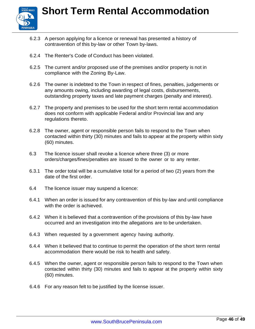

- 6.2.3 A person applying for a licence or renewal has presented a history of contravention of this by-law or other Town by-laws.
- 6.2.4 The Renter's Code of Conduct has been violated.
- 6.2.5 The current and/or proposed use of the premises and/or property is not in compliance with the Zoning By-Law.
- 6.2.6 The owner is indebted to the Town in respect of fines, penalties, judgements or any amounts owing, including awarding of legal costs, disbursements, outstanding property taxes and late payment charges (penalty and interest).
- 6.2.7 The property and premises to be used for the short term rental accommodation does not conform with applicable Federal and/or Provincial law and any regulations thereto.
- 6.2.8 The owner, agent or responsible person fails to respond to the Town when contacted within thirty (30) minutes and fails to appear at the property within sixty (60) minutes.
- 6.3 The licence issuer shall revoke a licence where three (3) or more orders/charges/fines/penalties are issued to the owner or to any renter.
- 6.3.1 The order total will be a cumulative total for a period of two (2) years from the date of the first order.
- 6.4 The licence issuer may suspend a licence:
- 6.4.1 When an order is issued for any contravention of this by-law and until compliance with the order is achieved.
- 6.4.2 When it is believed that a contravention of the provisions of this by-law have occurred and an investigation into the allegations are to be undertaken.
- 6.4.3 When requested by a government agency having authority.
- 6.4.4 When it believed that to continue to permit the operation of the short term rental accommodation there would be risk to health and safety.
- 6.4.5 When the owner, agent or responsible person fails to respond to the Town when contacted within thirty (30) minutes and fails to appear at the property within sixty (60) minutes.
- 6.4.6 For any reason felt to be justified by the license issuer.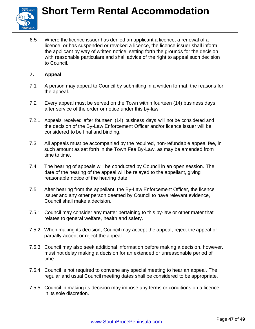

6.5 Where the licence issuer has denied an applicant a licence, a renewal of a licence, or has suspended or revoked a licence, the licence issuer shall inform the applicant by way of written notice, setting forth the grounds for the decision with reasonable particulars and shall advice of the right to appeal such decision to Council.

#### **7. Appeal**

- 7.1 A person may appeal to Council by submitting in a written format, the reasons for the appeal.
- 7.2 Every appeal must be served on the Town within fourteen (14) business days after service of the order or notice under this by-law.
- 7.2.1 Appeals received after fourteen (14) business days will not be considered and the decision of the By-Law Enforcement Officer and/or licence issuer will be considered to be final and binding.
- 7.3 All appeals must be accompanied by the required, non-refundable appeal fee, in such amount as set forth in the Town Fee By-Law, as may be amended from time to time.
- 7.4 The hearing of appeals will be conducted by Council in an open session. The date of the hearing of the appeal will be relayed to the appellant, giving reasonable notice of the hearing date.
- 7.5 After hearing from the appellant, the By-Law Enforcement Officer, the licence issuer and any other person deemed by Council to have relevant evidence, Council shall make a decision.
- 7.5.1 Council may consider any matter pertaining to this by-law or other mater that relates to general welfare, health and safety.
- 7.5.2 When making its decision, Council may accept the appeal, reject the appeal or partially accept or reject the appeal.
- 7.5.3 Council may also seek additional information before making a decision, however, must not delay making a decision for an extended or unreasonable period of time.
- 7.5.4 Council is not required to convene any special meeting to hear an appeal. The regular and usual Council meeting dates shall be considered to be appropriate.
- 7.5.5 Council in making its decision may impose any terms or conditions on a licence, in its sole discretion.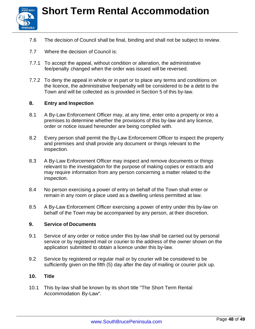



- 7.6 The decision of Council shall be final, binding and shall not be subject to review.
- 7.7 Where the decision of Council is:
- 7.7.1 To accept the appeal, without condition or alteration, the administrative fee/penalty changed when the order was issued will be reversed.
- 7.7.2 To deny the appeal in whole or in part or to place any terms and conditions on the licence, the administrative fee/penalty will be considered to be a debt to the Town and will be collected as is provided in Section 5 of this by-law.

#### **8. Entry and Inspection**

- 8.1 A By-Law Enforcement Officer may, at any time, enter onto a property or into a premises to determine whether the provisions of this by-law and any licence, order or notice issued hereunder are being complied with.
- 8.2 Every person shall permit the By-Law Enforcement Officer to inspect the property and premises and shall provide any document or things relevant to the inspection.
- 8.3 A By-Law Enforcement Officer may inspect and remove documents or things relevant to the investigation for the purpose of making copies or extracts and may require information from any person concerning a matter related to the inspection.
- 8.4 No person exercising a power of entry on behalf of the Town shall enter or remain in any room or place used as a dwelling unless permitted at law.
- 8.5 A By-Law Enforcement Officer exercising a power of entry under this by-law on behalf of the Town may be accompanied by any person, at their discretion.

#### **9. Service of Documents**

- 9.1 Service of any order or notice under this by-law shall be carried out by personal service or by registered mail or courier to the address of the owner shown on the application submitted to obtain a licence under this by-law.
- 9.2 Service by registered or regular mail or by courier will be considered to be sufficiently given on the fifth (5) day after the day of mailing or courier pick up.

#### **10. Title**

10.1 This by-law shall be known by its short title "The Short Term Rental Accommodation By-Law".